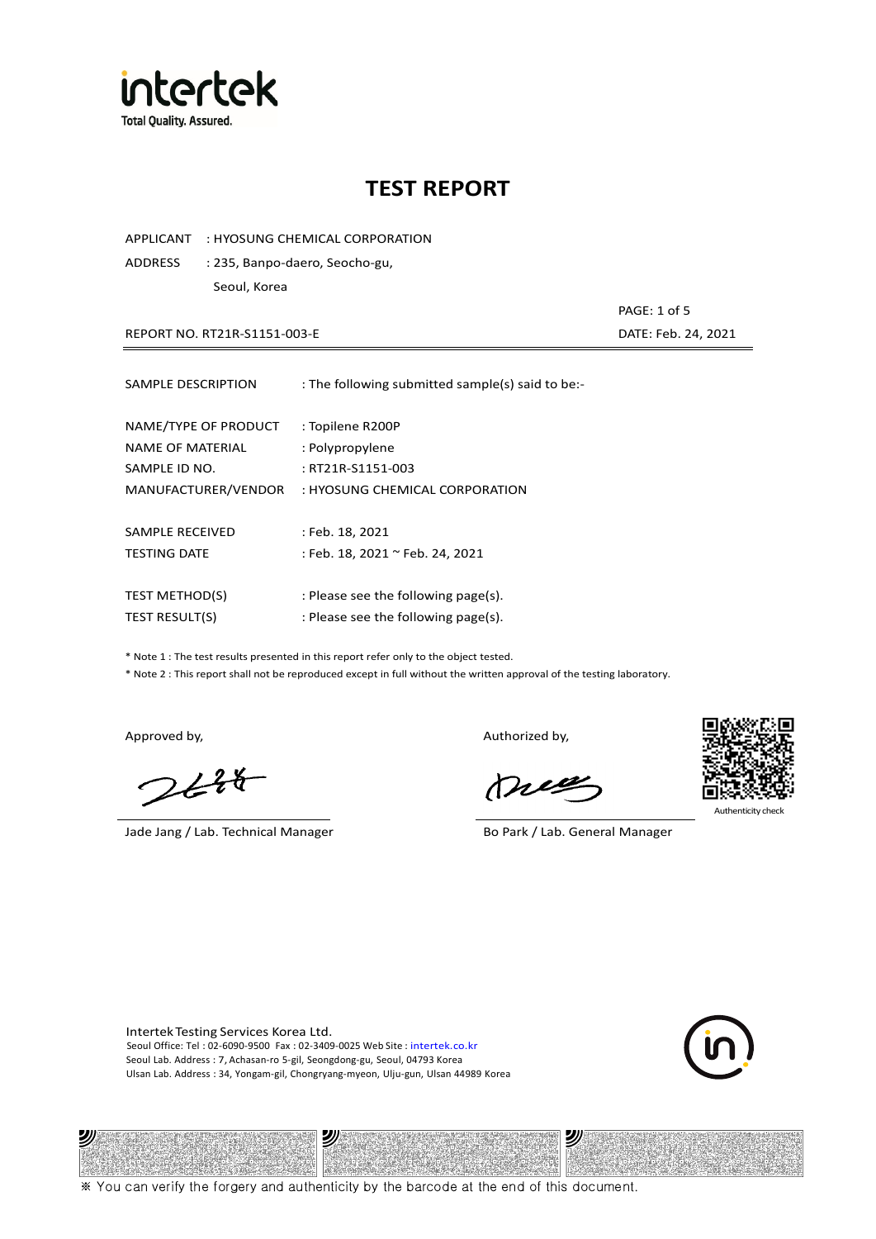

APPLICANT : HYOSUNG CHEMICAL CORPORATION

ADDRESS : 235, Banpo-daero, Seocho-gu, Seoul, Korea

REPORT NO. RT21R-S1151-003-E DATE: Feb. 24, 2021

| SAMPLE DESCRIPTION    | : The following submitted sample(s) said to be:- |
|-----------------------|--------------------------------------------------|
| NAME/TYPE OF PRODUCT  | : Topilene R200P                                 |
| NAME OF MATERIAL      | : Polypropylene                                  |
| SAMPLE ID NO.         | : RT21R-S1151-003                                |
| MANUFACTURER/VENDOR   | : HYOSUNG CHEMICAL CORPORATION                   |
| SAMPLE RECEIVED       | : Feb. 18, 2021                                  |
| <b>TESTING DATE</b>   | : Feb. 18, 2021 ~ Feb. 24, 2021                  |
| <b>TEST METHOD(S)</b> | : Please see the following page(s).              |
| <b>TEST RESULT(S)</b> | : Please see the following page(s).              |

\* Note 1 : The test results presented in this report refer only to the object tested.

\* Note 2 : This report shall not be reproduced except in full without the written approval of the testing laboratory.

 $248$ 

Jade Jang / Lab. Technical Manager Bo Park / Lab. General Manager

Approved by, Authorized by, Authorized by,

mes



Authenticity check

PAGE: 1 of 5

Intertek Testing Services Korea Ltd. Seoul Office: Tel : 02-6090-9500 Fax : 02-3409-0025 Web Site : intertek.co.kr Seoul Lab. Address : 7, Achasan-ro 5-gil, Seongdong-gu, Seoul, 04793 Korea Ulsan Lab. Address : 34, Yongam-gil, Chongryang-myeon, Ulju-gun, Ulsan 44989 Korea





※ You can verify the forgery and authenticity by the barcode at the end of this document.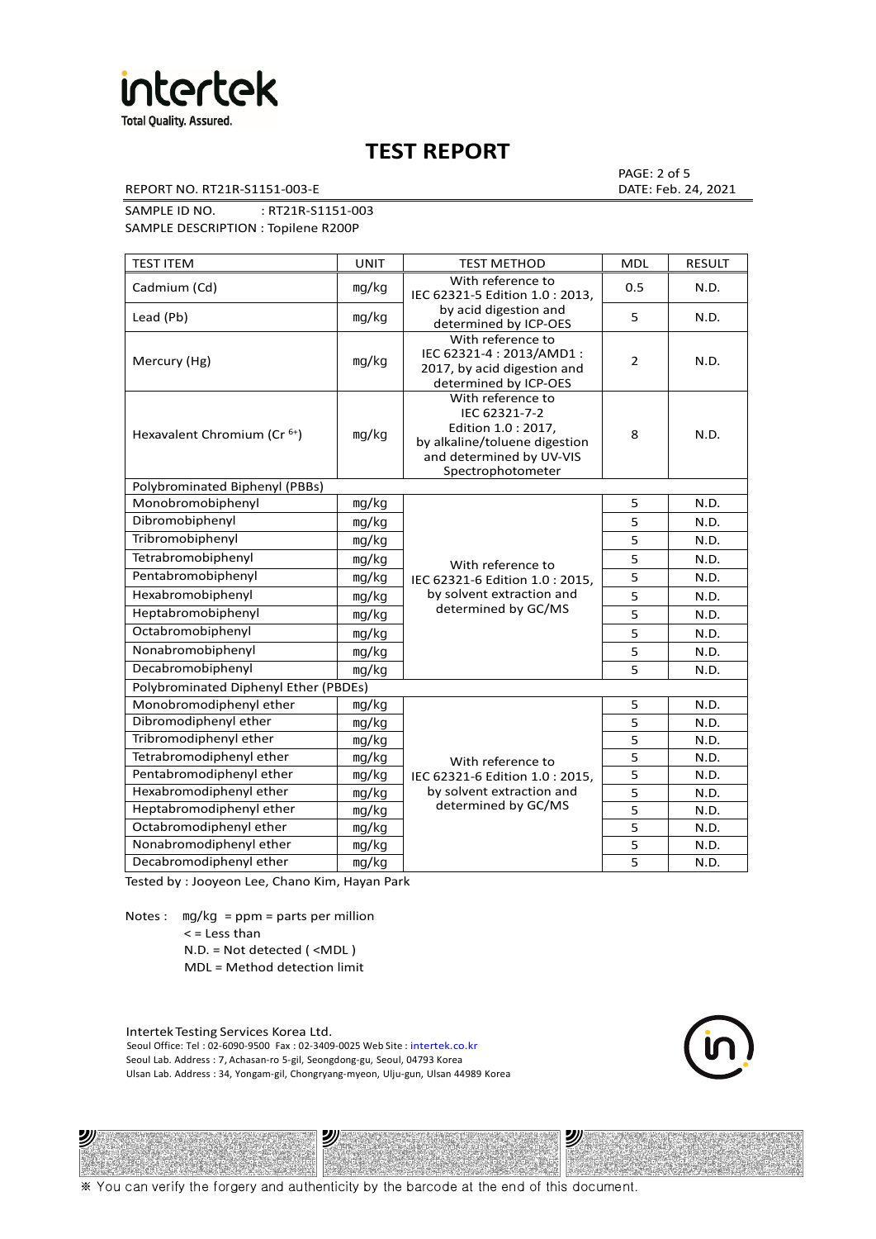

REPORT NO. RT21R-S1151-003-E DATE: Feb. 24, 2021

PAGE: 2 of 5

SAMPLE ID NO. : RT21R-S1151-003

SAMPLE DESCRIPTION : Topilene R200P

| <b>TEST ITEM</b>                        | <b>UNIT</b> | <b>TEST METHOD</b>                                                                                                                          | <b>MDL</b>     | <b>RESULT</b> |
|-----------------------------------------|-------------|---------------------------------------------------------------------------------------------------------------------------------------------|----------------|---------------|
| Cadmium (Cd)                            | mg/kg       | With reference to<br>IEC 62321-5 Edition 1.0 : 2013,                                                                                        | 0.5            | N.D.          |
| Lead (Pb)                               | mg/kg       | by acid digestion and<br>determined by ICP-OES                                                                                              | 5              | N.D.          |
| Mercury (Hg)                            | mg/kg       | With reference to<br>IEC 62321-4: 2013/AMD1:<br>2017, by acid digestion and<br>determined by ICP-OES                                        | $\overline{2}$ | N.D.          |
| Hexavalent Chromium (Cr <sup>6+</sup> ) | mg/kg       | With reference to<br>IEC 62321-7-2<br>Edition 1.0 : 2017,<br>by alkaline/toluene digestion<br>and determined by UV-VIS<br>Spectrophotometer | 8              | N.D.          |
| Polybrominated Biphenyl (PBBs)          |             |                                                                                                                                             |                |               |
| Monobromobiphenyl                       | mg/kg       |                                                                                                                                             | 5              | N.D.          |
| Dibromobiphenyl                         | mg/kg       |                                                                                                                                             | 5              | N.D.          |
| Tribromobiphenyl                        | mg/kg       |                                                                                                                                             | 5              | N.D.          |
| Tetrabromobiphenyl                      | mg/kg       | With reference to                                                                                                                           | 5              | N.D.          |
| Pentabromobiphenyl                      | mg/kg       | IEC 62321-6 Edition 1.0 : 2015,                                                                                                             | 5              | N.D.          |
| Hexabromobiphenyl                       | mq/kg       | by solvent extraction and                                                                                                                   | 5              | N.D.          |
| Heptabromobiphenyl                      | mg/kg       | determined by GC/MS                                                                                                                         | 5              | N.D.          |
| Octabromobiphenyl                       | mq/kg       |                                                                                                                                             | 5              | N.D.          |
| Nonabromobiphenyl                       | mg/kg       |                                                                                                                                             | 5              | N.D.          |
| Decabromobiphenyl                       | mg/kg       |                                                                                                                                             | 5              | N.D.          |
| Polybrominated Diphenyl Ether (PBDEs)   |             |                                                                                                                                             |                |               |
| Monobromodiphenyl ether                 | mg/kg       |                                                                                                                                             | 5              | N.D.          |
| Dibromodiphenyl ether                   | mg/kg       |                                                                                                                                             | 5              | N.D.          |
| Tribromodiphenyl ether                  | mg/kg       |                                                                                                                                             | 5              | N.D.          |
| Tetrabromodiphenyl ether                | mg/kg       | With reference to                                                                                                                           | 5              | N.D.          |
| Pentabromodiphenyl ether                | mg/kg       | IEC 62321-6 Edition 1.0: 2015,                                                                                                              | 5              | N.D.          |
| Hexabromodiphenyl ether                 | mg/kg       | by solvent extraction and                                                                                                                   | 5              | N.D.          |
| Heptabromodiphenyl ether                | mg/kg       | determined by GC/MS                                                                                                                         | 5              | N.D.          |
| Octabromodiphenyl ether                 | mg/kg       |                                                                                                                                             | 5              | N.D.          |
| Nonabromodiphenyl ether                 | mg/kg       |                                                                                                                                             | 5              | N.D.          |
| Decabromodiphenyl ether                 | mg/kg       |                                                                                                                                             | 5              | N.D.          |

Tested by : Jooyeon Lee, Chano Kim, Hayan Park

Notes : mg/kg = ppm = parts per million  $<$  = Less than N.D. = Not detected ( <MDL )

ツル

MDL = Method detection limit

Intertek Testing Services Korea Ltd. Seoul Office: Tel : 02-6090-9500 Fax : 02-3409-0025 Web Site : intertek.co.kr Seoul Lab. Address : 7, Achasan-ro 5-gil, Seongdong-gu, Seoul, 04793 Korea Ulsan Lab. Address : 34, Yongam-gil, Chongryang-myeon, Ulju-gun, Ulsan 44989 Korea

沙

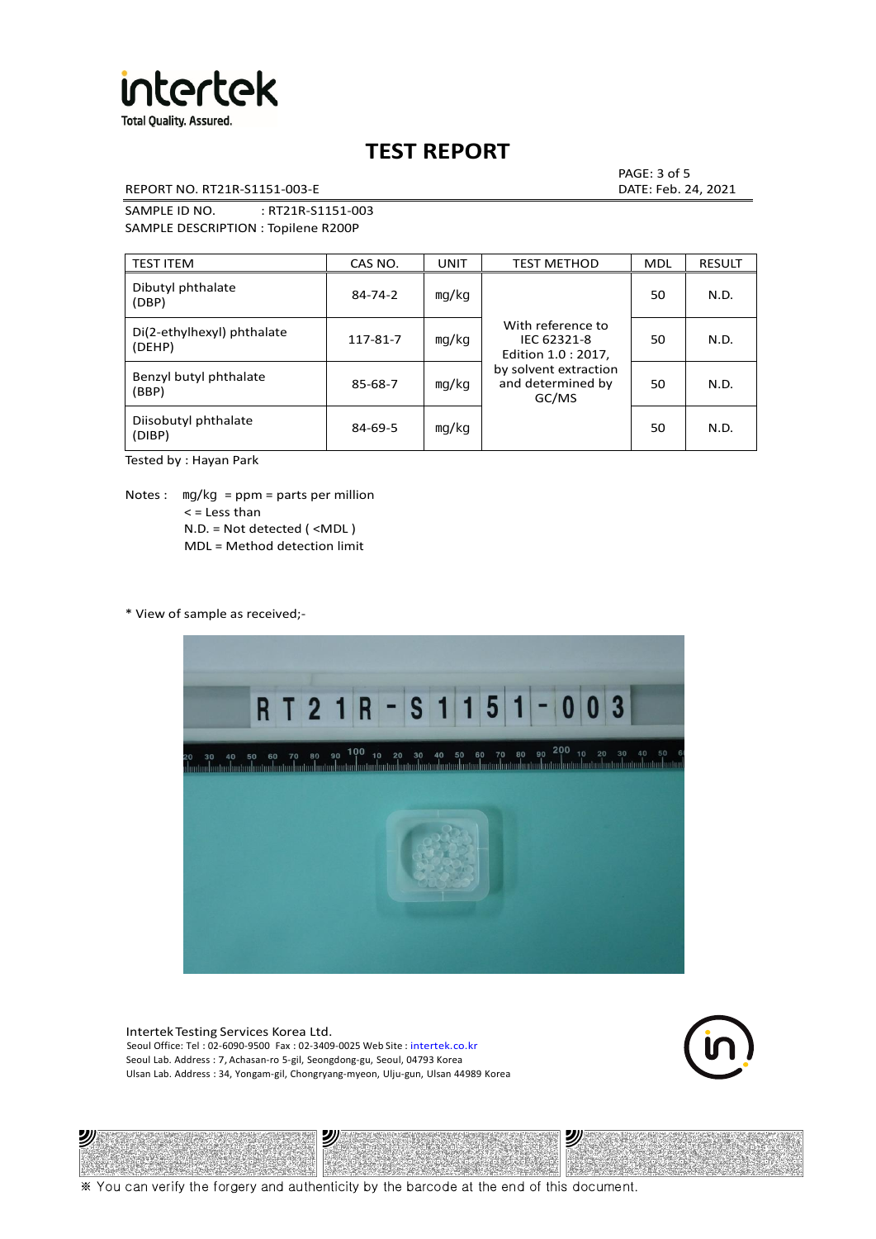

REPORT NO. RT21R-S1151-003-E DATE: Feb. 24, 2021

PAGE: 3 of 5

SAMPLE ID NO. : RT21R-S1151-003 SAMPLE DESCRIPTION : Topilene R200P

| <b>TEST ITEM</b>                     | CAS NO.       | <b>UNIT</b> | <b>TEST METHOD</b>                                      | <b>MDL</b> | <b>RESULT</b> |
|--------------------------------------|---------------|-------------|---------------------------------------------------------|------------|---------------|
| Dibutyl phthalate<br>(DBP)           | $84 - 74 - 2$ | mq/kg       | With reference to<br>IEC 62321-8<br>Edition 1.0 : 2017, | 50         | N.D.          |
| Di(2-ethylhexyl) phthalate<br>(DEHP) | 117-81-7      | mg/kg       |                                                         | 50         | N.D.          |
| Benzyl butyl phthalate<br>(BBP)      | 85-68-7       | mg/kg       | by solvent extraction<br>and determined by<br>GC/MS     | 50         | N.D.          |
| Diisobutyl phthalate<br>(DIBP)       | $84 - 69 - 5$ | mg/kg       |                                                         | 50         | N.D.          |

Tested by : Hayan Park

Notes :  $mq/kg = ppm = parts per million$  $<$  = Less than N.D. = Not detected ( <MDL ) MDL = Method detection limit

\* View of sample as received;-

"



Intertek Testing Services Korea Ltd. Seoul Office: Tel : 02-6090-9500 Fax : 02-3409-0025 Web Site : intertek.co.kr Seoul Lab. Address : 7, Achasan-ro 5-gil, Seongdong-gu, Seoul, 04793 Korea Ulsan Lab. Address : 34, Yongam-gil, Chongryang-myeon, Ulju-gun, Ulsan 44989 Korea

沙



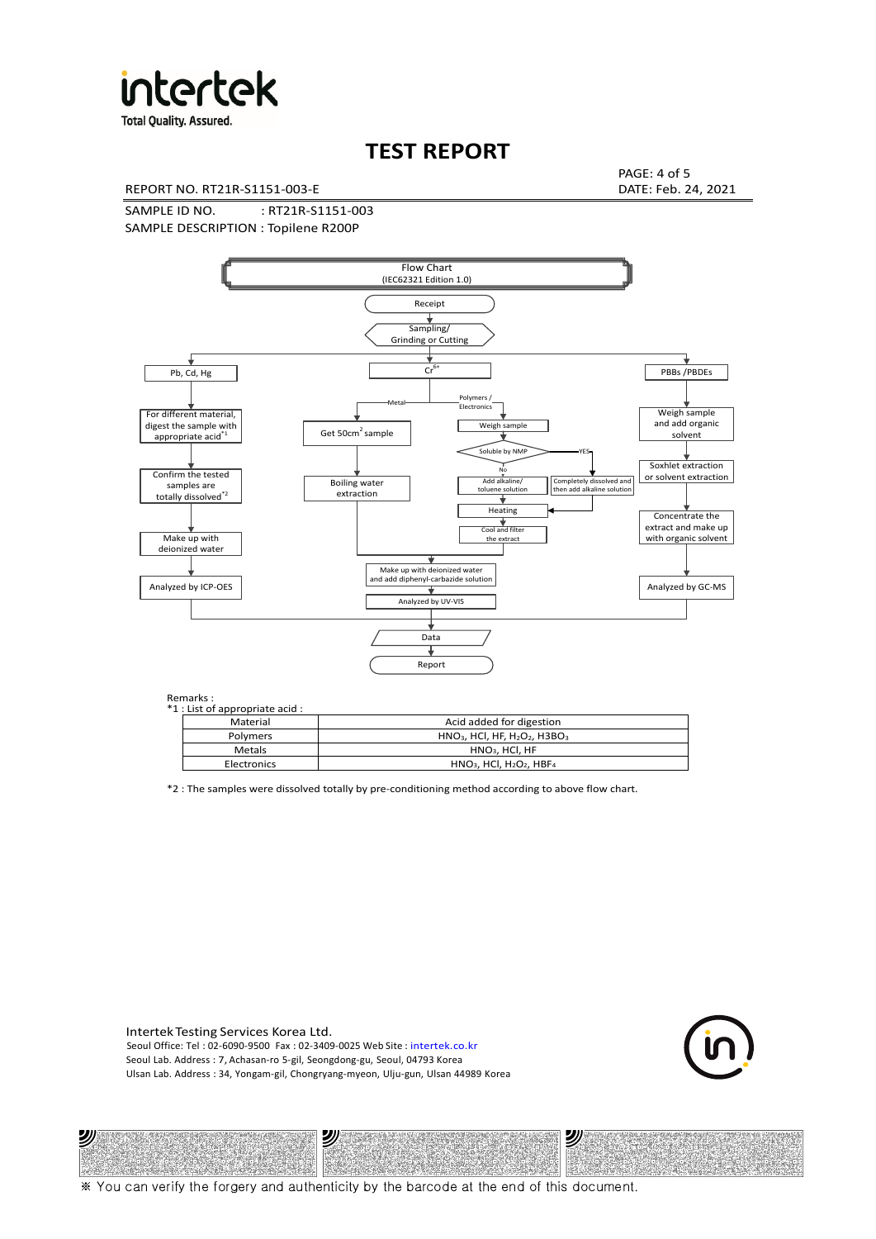

**Total Quality. Assured.** 

# **TEST REPORT**

REPORT NO. RT21R-S1151-003-E DATE: Feb. 24, 2021

PAGE: 4 of 5

SAMPLE ID NO. : RT21R-S1151-003 SAMPLE DESCRIPTION : Topilene R200P



Remarks :

沙

| . د ۱۱۱ تا ۱۰<br>1 : List of appropriate acid : |                                                                     |
|-------------------------------------------------|---------------------------------------------------------------------|
| Material                                        | Acid added for digestion                                            |
| Polymers                                        | $HNO3$ , HCl, HF, H <sub>2</sub> O <sub>2</sub> , H3BO <sub>3</sub> |
| <b>Metals</b>                                   | $HNO3$ , HCl, HF                                                    |
| Electronics                                     | $HNO3$ , HCl, H <sub>2</sub> O <sub>2</sub> , HBF <sub>4</sub>      |
|                                                 |                                                                     |

\*2 : The samples were dissolved totally by pre-conditioning method according to above flow chart.

Intertek Testing Services Korea Ltd. Seoul Office: Tel : 02-6090-9500 Fax : 02-3409-0025 Web Site : intertek.co.kr Seoul Lab. Address : 7, Achasan-ro 5-gil, Seongdong-gu, Seoul, 04793 Korea Ulsan Lab. Address : 34, Yongam-gil, Chongryang-myeon, Ulju-gun, Ulsan 44989 Korea

沙